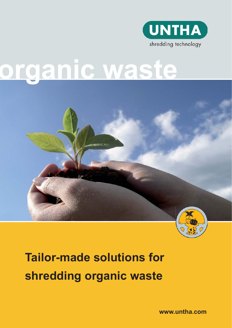

# **organic waste**



## **Tailor-made solutions for shredding organic waste**

**www.untha.com**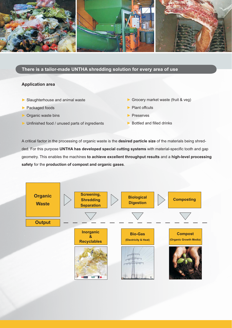

**There is a tailor-made UNTHA shredding solution for every area of use**

#### **Application area**

- $\blacktriangleright$  Slaughterhouse and animal waste
- $\blacktriangleright$  Packaged foods
- $\triangleright$  Organic waste bins
- $\blacktriangleright$  Unfinished food / unused parts of ingredients
- $\triangleright$  Grocery market waste (fruit & veg)
- $\blacktriangleright$  Plant offcuts
- **Preserves**
- $\blacktriangleright$  Bottled and filled drinks

A critical factor in the processing of organic waste is the **desired particle size** of the materials being shredded. For this purpose UNTHA has developed special cutting systems with material-specific tooth and gap geometry. This enables the machines **to achieve excellent throughput results** and a **high-level processing safety** for the **production of compost and organic gases**.

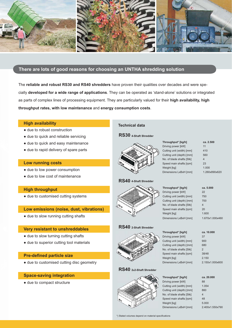

#### **There are lots of good reasons for choosing an UNTHA shredding solution**

The **reliable and robust RS30 and RS40 shredders** have proven their qualities over decades and were specially **developed for a wide range of applications**. They can be operated as 'stand-alone' solutions or integrated as parts of complex lines of processing equipment. They are particularly valued for their **high availability, high throughput rates, with low maintenance** and **energy consumption costs**.

#### **High availability**

- $\bullet$  due to robust construction
- due to quick and reliable servicing
- $\bullet$  due to quick and easy maintenance
- due to rapid delivery of spare parts

#### **Low running costs**

- due to low power consumption
- $\bullet$  due to low cost of maintenance

#### **High throughput**

• due to customised cutting systems

#### **Low emissions (noise, dust, vibrations)**

• due to slow running cutting shafts

#### **Very resistant to unshreddables**

- due to slow turning cutting shafts
- due to superior cutting tool materials

#### **Pre-defined particle size**

 $\bullet$  due to customised cutting disc geometry

#### **Space-saving integration**

• due to compact structure

#### **Technical data**

#### **RS30 4-Shaft Shredder**



#### **RS40 4-Shaft Shredder**



#### **RS40 2-Shaft Shredder**



#### **RS40 2x2-Shaft Shredder**



\*) Stated volumes depend on material specifications

#### Driving power [kW] 11 Cutting unit (width) [mm] 410 Cutting unit (depth) [mm] 560 No. of blade shafts [Stk] 4 Speed main shafts [rpm] 23 Weight [kg] 1.000 Dimensions LxBxH [mm] 1.260x890x620

**Throughput\* [kg/h] ca. 2.500**

| ca. 5.000       |
|-----------------|
| 22              |
| 750             |
| 700             |
| 4               |
| 20              |
| 1.600           |
| 1.670x1.000x460 |
|                 |

#### **Throughput\* [kg/h] ca. 10.000** Driving power [kW] 37 Cutting unit (width) [mm] 900 Cutting unit (depth) [mm] 680 No. of blade shafts [Stk] 2 Speed main shafts [rpm] 38/48 Weight [kg] 2.150 Dimensions LxBxH [mm] 2.150x1.000x600

**Throughput\* [kg/h] ca. 20.000** Driving power [kW] 88 Cutting unit (width) [mm] 1.054 Cutting unit (depth) [mm] 860 No. of blade shafts [Stk] 4 Speed main shafts [rpm] 48 Weight [kg] 5.000 [mm] 2.400x1.550x790

| Dimensions LxBxH |  |
|------------------|--|
|                  |  |